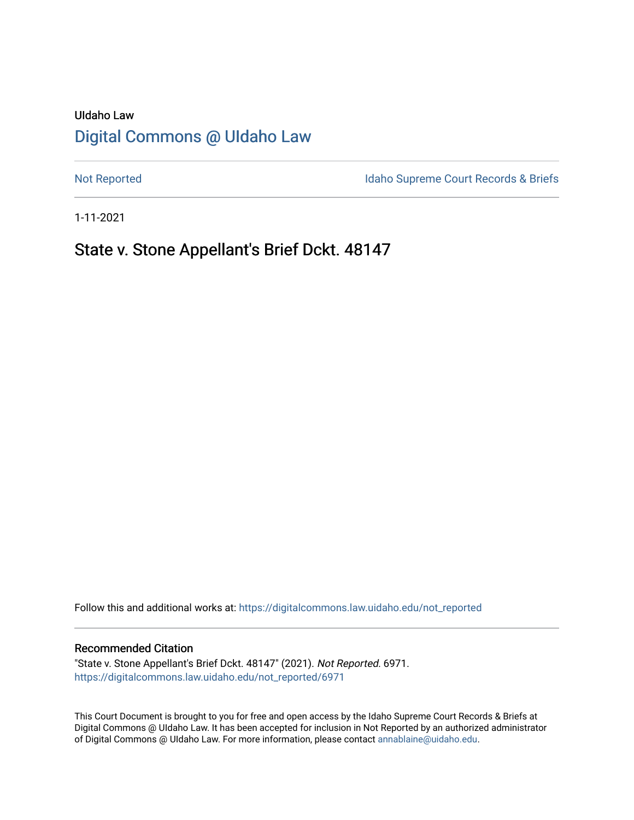# UIdaho Law [Digital Commons @ UIdaho Law](https://digitalcommons.law.uidaho.edu/)

[Not Reported](https://digitalcommons.law.uidaho.edu/not_reported) **Idaho Supreme Court Records & Briefs** 

1-11-2021

## State v. Stone Appellant's Brief Dckt. 48147

Follow this and additional works at: [https://digitalcommons.law.uidaho.edu/not\\_reported](https://digitalcommons.law.uidaho.edu/not_reported?utm_source=digitalcommons.law.uidaho.edu%2Fnot_reported%2F6971&utm_medium=PDF&utm_campaign=PDFCoverPages) 

#### Recommended Citation

"State v. Stone Appellant's Brief Dckt. 48147" (2021). Not Reported. 6971. [https://digitalcommons.law.uidaho.edu/not\\_reported/6971](https://digitalcommons.law.uidaho.edu/not_reported/6971?utm_source=digitalcommons.law.uidaho.edu%2Fnot_reported%2F6971&utm_medium=PDF&utm_campaign=PDFCoverPages)

This Court Document is brought to you for free and open access by the Idaho Supreme Court Records & Briefs at Digital Commons @ UIdaho Law. It has been accepted for inclusion in Not Reported by an authorized administrator of Digital Commons @ UIdaho Law. For more information, please contact [annablaine@uidaho.edu](mailto:annablaine@uidaho.edu).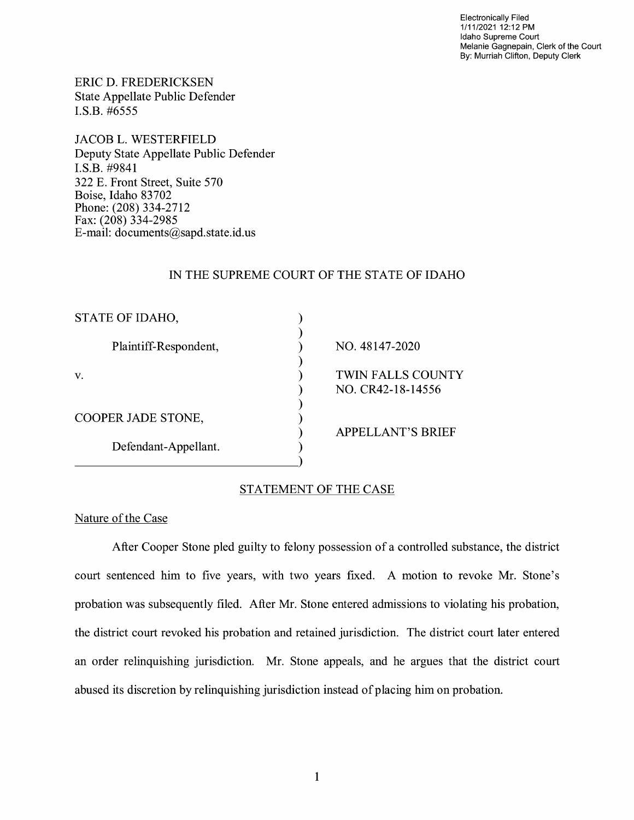Electronically Filed 1/11/2021 12:12 PM Idaho Supreme Court Melanie Gagnepain, Clerk of the Court By: Murriah Clifton, Deputy Clerk

ERIC D. FREDERICKSEN State Appellate Public Defender I.S.B. #6555

JACOB L. WESTERFIELD Deputy State Appellate Public Defender I.S.B. #9841 322 E. Front Street, Suite 570 Boise, Idaho 83702 Phone: (208) 334-2712 Fax: (208) 334-2985 E-mail: documents@sapd.state.id. us

#### IN THE SUPREME COURT OF THE STATE OF IDAHO

| STATE OF IDAHO,       |                                               |
|-----------------------|-----------------------------------------------|
| Plaintiff-Respondent, | NO. 48147-2020                                |
| v.                    | <b>TWIN FALLS COUNTY</b><br>NO. CR42-18-14556 |
| COOPER JADE STONE,    | <b>APPELLANT'S BRIEF</b>                      |
| Defendant-Appellant.  |                                               |

#### STATEMENT OF THE CASE

#### Nature of the Case

After Cooper Stone pied guilty to felony possession of a controlled substance, the district court sentenced him to five years, with two years fixed. A motion to revoke Mr. Stone's probation was subsequently filed. After Mr. Stone entered admissions to violating his probation, the district court revoked his probation and retained jurisdiction. The district court later entered an order relinquishing jurisdiction. Mr. Stone appeals, and he argues that the district court abused its discretion by relinquishing jurisdiction instead of placing him on probation.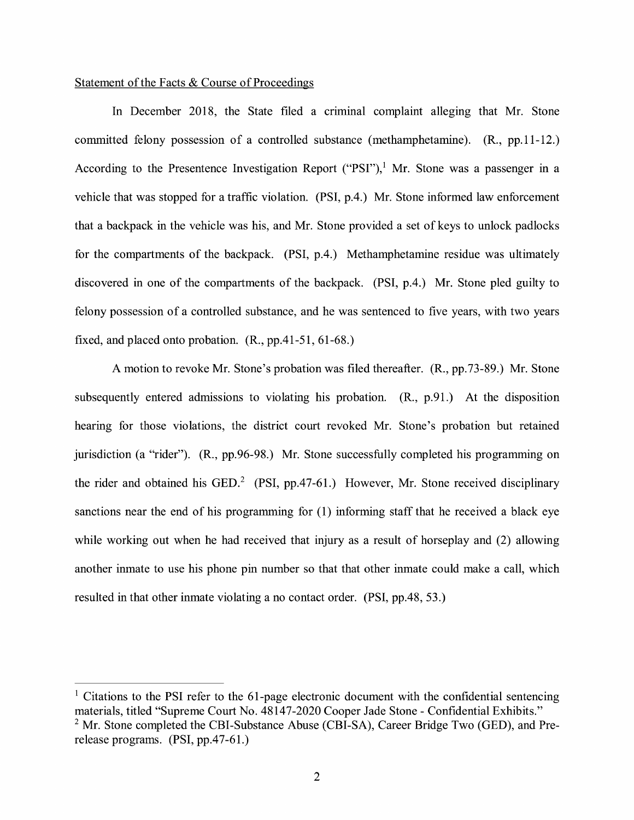#### Statement of the Facts & Course of Proceedings

In December 2018, the State filed a criminal complaint alleging that Mr. Stone committed felony possession of a controlled substance (methamphetamine). (R., pp.11-12.) According to the Presentence Investigation Report ("PSI"),<sup>1</sup> Mr. Stone was a passenger in a vehicle that was stopped for a traffic violation. (PSI, p.4.) Mr. Stone informed law enforcement that a backpack in the vehicle was his, and Mr. Stone provided a set of keys to unlock padlocks for the compartments of the backpack. (PSI, p.4.) Methamphetamine residue was ultimately discovered in one of the compartments of the backpack. (PSI, p.4.) Mr. Stone pled guilty to felony possession of a controlled substance, and he was sentenced to five years, with two years fixed, and placed onto probation. (R., pp.41-51, 61-68.)

A motion to revoke Mr. Stone's probation was filed thereafter. (R., pp.73-89.) Mr. Stone subsequently entered admissions to violating his probation. (R., p.91.) At the disposition hearing for those violations, the district court revoked Mr. Stone's probation but retained jurisdiction (a "rider"). (R., pp.96-98.) Mr. Stone successfully completed his programming on the rider and obtained his GED.<sup>2</sup> (PSI, pp.47-61.) However, Mr. Stone received disciplinary sanctions near the end of his programming for (1) informing staff that he received a black eye while working out when he had received that injury as a result of horseplay and (2) allowing another inmate to use his phone pin number so that that other inmate could make a call, which resulted in that other inmate violating a no contact order. (PSI, pp.48, 53.)

 $1$  Citations to the PSI refer to the 61-page electronic document with the confidential sentencing materials, titled "Supreme Court No. 48147-2020 Cooper Jade Stone - Confidential Exhibits."  $2$  Mr. Stone completed the CBI-Substance Abuse (CBI-SA), Career Bridge Two (GED), and Prerelease programs. (PSI, pp.47-61.)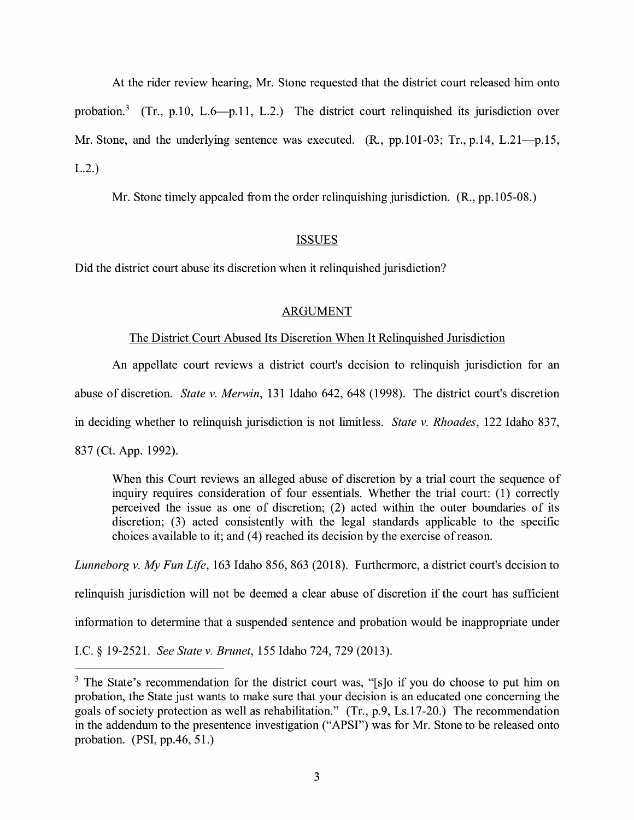At the rider review hearing, Mr. Stone requested that the district court released him onto probation.<sup>3</sup> (Tr., p.10, L.6-p.11, L.2.) The district court relinquished its jurisdiction over Mr. Stone, and the underlying sentence was executed.  $(R., pp.101-03; Tr., p.14, L.21-p.15,$ L.2.)

Mr. Stone timely appealed from the order relinguishing jurisdiction. (R., pp.105-08.)

## ISSUES

Did the district court abuse its discretion when it relinquished jurisdiction?

## ARGUMENT

#### The District Court Abused Its Discretion When It Relinquished Jurisdiction

An appellate court reviews a district court's decision to relinquish jurisdiction for an

abuse of discretion. *State v. Merwin,* 131 Idaho 642, 648 (1998). The district court's discretion

in deciding whether to relinquish jurisdiction is not limitless. *State v. Rhoades,* 122 Idaho 837,

837 (Ct. App. 1992).

When this Court reviews an alleged abuse of discretion by a trial court the sequence of inquiry requires consideration of four essentials. Whether the trial court: (1) correctly perceived the issue as one of discretion; (2) acted within the outer boundaries of its discretion; (3) acted consistently with the legal standards applicable to the specific choices available to it; and (4) reached its decision by the exercise of reason.

*Lunneborg v. My Fun Life,* 163 Idaho 856, 863 (2018). Furthermore, a district court's decision to

relinquish jurisdiction will not be deemed a clear abuse of discretion if the court has sufficient

information to determine that a suspended sentence and probation would be inappropriate under

LC.§ 19-2521. *See State v. Brunet,* 155 Idaho 724, 729 (2013).

<sup>&</sup>lt;sup>3</sup> The State's recommendation for the district court was, "[s]o if you do choose to put him on probation, the State just wants to make sure that your decision is an educated one concerning the goals of society protection as well as rehabilitation." (Tr., p.9, Ls.17-20.) The recommendation in the addendum to the presentence investigation ("APSI") was for Mr. Stone to be released onto probation. (PSI, pp.46, 51.)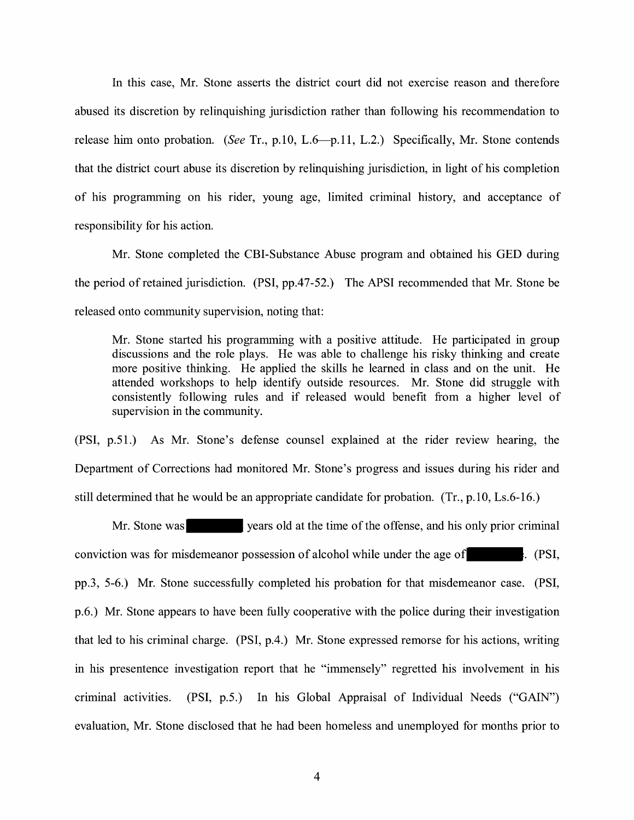In this case, Mr. Stone asserts the district court did not exercise reason and therefore abused its discretion by relinquishing jurisdiction rather than following his recommendation to release him onto probation. *(See Tr., p.10, L.6*—p.11, L.2.) Specifically, Mr. Stone contends that the district court abuse its discretion by relinquishing jurisdiction, in light of his completion of his programming on his rider, young age, limited criminal history, and acceptance of responsibility for his action.

Mr. Stone completed the CBI-Substance Abuse program and obtained his GED during the period of retained jurisdiction. (PSI, pp.47-52.) The APSI recommended that Mr. Stone be released onto community supervision, noting that:

Mr. Stone started his programming with a positive attitude. He participated in group discussions and the role plays. He was able to challenge his risky thinking and create more positive thinking. He applied the skills he learned in class and on the unit. He attended workshops to help identify outside resources. Mr. Stone did struggle with consistently following rules and if released would benefit from a higher level of supervision in the community.

(PSI, p.51.) As Mr. Stone's defense counsel explained at the rider review hearing, the Department of Corrections had monitored Mr. Stone's progress and issues during his rider and still determined that he would be an appropriate candidate for probation. (Tr., p.10, Ls.6-16.)

Mr. Stone was years old at the time of the offense, and his only prior criminal conviction was for misdemeanor possession of alcohol while under the age of . (PSI, pp.3, 5-6.) Mr. Stone successfully completed his probation for that misdemeanor case. (PSI, p.6.) Mr. Stone appears to have been fully cooperative with the police during their investigation that led to his criminal charge. (PSI, p.4.) Mr. Stone expressed remorse for his actions, writing in his presentence investigation report that he "immensely" regretted his involvement in his criminal activities. (PSI, p.5.) In his Global Appraisal of Individual Needs ("GAIN") evaluation, Mr. Stone disclosed that he had been homeless and unemployed for months prior to